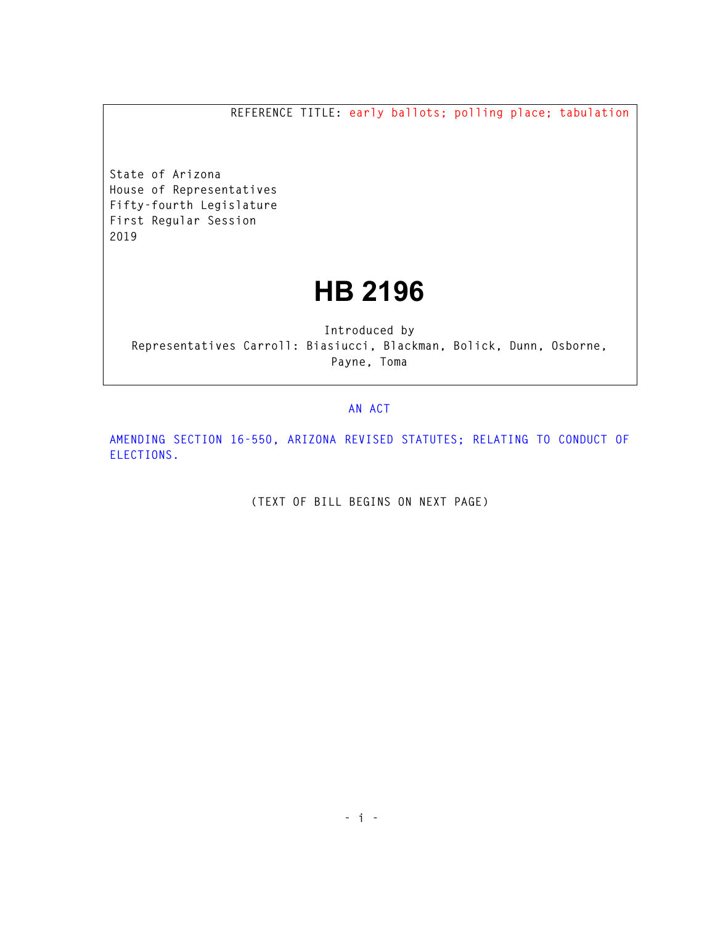**REFERENCE TITLE: early ballots; polling place; tabulation** 

**State of Arizona House of Representatives Fifty-fourth Legislature First Regular Session 2019** 

## **HB 2196**

**Introduced by Representatives Carroll: Biasiucci, Blackman, Bolick, Dunn, Osborne, Payne, Toma** 

## **AN ACT**

**AMENDING SECTION 16-550, ARIZONA REVISED STATUTES; RELATING TO CONDUCT OF ELECTIONS.** 

**(TEXT OF BILL BEGINS ON NEXT PAGE)**